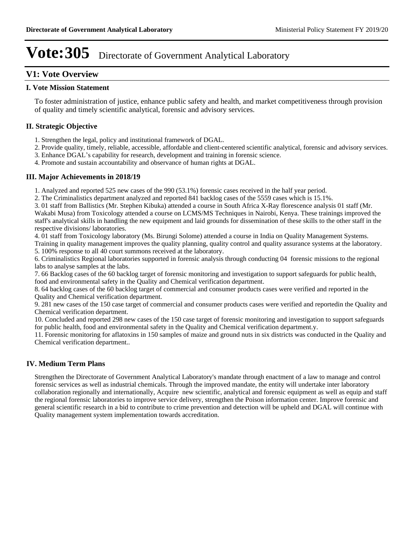### **V1: Vote Overview**

### **I. Vote Mission Statement**

To foster administration of justice, enhance public safety and health, and market competitiveness through provision of quality and timely scientific analytical, forensic and advisory services.

### **II. Strategic Objective**

- 1. Strengthen the legal, policy and institutional framework of DGAL.
- 2. Provide quality, timely, reliable, accessible, affordable and client-centered scientific analytical, forensic and advisory services.
- 3. Enhance DGAL's capability for research, development and training in forensic science.
- 4. Promote and sustain accountability and observance of human rights at DGAL.

### **III. Major Achievements in 2018/19**

1. Analyzed and reported 525 new cases of the 990 (53.1%) forensic cases received in the half year period.

2. The Criminalistics department analyzed and reported 841 backlog cases of the 5559 cases which is 15.1%.

3. 01 staff from Ballistics (Mr. Stephen Kibuka) attended a course in South Africa X-Ray florescence analysis 01 staff (Mr.

Wakabi Musa) from Toxicology attended a course on LCMS/MS Techniques in Nairobi, Kenya. These trainings improved the staff's analytical skills in handling the new equipment and laid grounds for dissemination of these skills to the other staff in the respective divisions/ laboratories.

4. 01 staff from Toxicology laboratory (Ms. Birungi Solome) attended a course in India on Quality Management Systems.

Training in quality management improves the quality planning, quality control and quality assurance systems at the laboratory. 5. 100% response to all 40 court summons received at the laboratory.

6. Criminalistics Regional laboratories supported in forensic analysis through conducting 04 forensic missions to the regional labs to analyse samples at the labs.

7. 66 Backlog cases of the 60 backlog target of forensic monitoring and investigation to support safeguards for public health, food and environmental safety in the Quality and Chemical verification department.

8. 64 backlog cases of the 60 backlog target of commercial and consumer products cases were verified and reported in the Quality and Chemical verification department.

9. 281 new cases of the 150 case target of commercial and consumer products cases were verified and reportedin the Quality and Chemical verification department.

10. Concluded and reported 298 new cases of the 150 case target of forensic monitoring and investigation to support safeguards for public health, food and environmental safety in the Quality and Chemical verification department.y.

11. Forensic monitoring for aflatoxins in 150 samples of maize and ground nuts in six districts was conducted in the Quality and Chemical verification department..

### **IV. Medium Term Plans**

Strengthen the Directorate of Government Analytical Laboratory's mandate through enactment of a law to manage and control forensic services as well as industrial chemicals. Through the improved mandate, the entity will undertake inter laboratory collaboration regionally and internationally, Acquire new scientific, analytical and forensic equipment as well as equip and staff the regional forensic laboratories to improve service delivery, strengthen the Poison information center. Improve forensic and general scientific research in a bid to contribute to crime prevention and detection will be upheld and DGAL will continue with Quality management system implementation towards accreditation.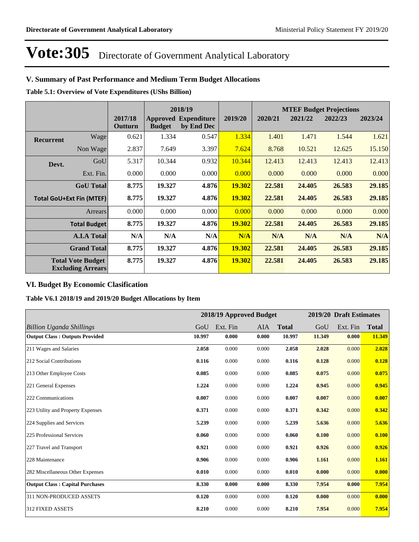### **V. Summary of Past Performance and Medium Term Budget Allocations**

**Table 5.1: Overview of Vote Expenditures (UShs Billion)**

|                  |                                                      |                    |               | 2018/19                                   | <b>MTEF Budget Projections</b> |         |         |         |         |
|------------------|------------------------------------------------------|--------------------|---------------|-------------------------------------------|--------------------------------|---------|---------|---------|---------|
|                  |                                                      | 2017/18<br>Outturn | <b>Budget</b> | <b>Approved Expenditure</b><br>by End Dec | 2019/20                        | 2020/21 | 2021/22 | 2022/23 | 2023/24 |
| <b>Recurrent</b> | Wage                                                 | 0.621              | 1.334         | 0.547                                     | 1.334                          | 1.401   | 1.471   | 1.544   | 1.621   |
|                  | Non Wage                                             | 2.837              | 7.649         | 3.397                                     | 7.624                          | 8.768   | 10.521  | 12.625  | 15.150  |
| Devt.            | GoU                                                  | 5.317              | 10.344        | 0.932                                     | 10.344                         | 12.413  | 12.413  | 12.413  | 12.413  |
|                  | Ext. Fin.                                            | 0.000              | 0.000         | 0.000                                     | 0.000                          | 0.000   | 0.000   | 0.000   | 0.000   |
|                  | <b>GoU</b> Total                                     | 8.775              | 19.327        | 4.876                                     | 19.302                         | 22.581  | 24.405  | 26.583  | 29.185  |
|                  | <b>Total GoU+Ext Fin (MTEF)</b>                      | 8.775              | 19.327        | 4.876                                     | <b>19.302</b>                  | 22.581  | 24.405  | 26.583  | 29.185  |
|                  | Arrears                                              | 0.000              | 0.000         | 0.000                                     | 0.000                          | 0.000   | 0.000   | 0.000   | 0.000   |
|                  | <b>Total Budget</b>                                  | 8.775              | 19.327        | 4.876                                     | 19.302                         | 22.581  | 24.405  | 26.583  | 29.185  |
|                  | <b>A.I.A Total</b>                                   | N/A                | N/A           | N/A                                       | N/A                            | N/A     | N/A     | N/A     | N/A     |
|                  | <b>Grand Total</b>                                   | 8.775              | 19.327        | 4.876                                     | 19.302                         | 22.581  | 24.405  | 26.583  | 29.185  |
|                  | <b>Total Vote Budget</b><br><b>Excluding Arrears</b> | 8.775              | 19.327        | 4.876                                     | 19.302                         | 22.581  | 24.405  | 26.583  | 29.185  |

### **VI. Budget By Economic Clasification**

**Table V6.1 2018/19 and 2019/20 Budget Allocations by Item**

|                                        |        |          | 2018/19 Approved Budget |              |        | 2019/20 Draft Estimates |              |
|----------------------------------------|--------|----------|-------------------------|--------------|--------|-------------------------|--------------|
| <b>Billion Uganda Shillings</b>        | GoU    | Ext. Fin | <b>AIA</b>              | <b>Total</b> | GoU    | Ext. Fin                | <b>Total</b> |
| <b>Output Class: Outputs Provided</b>  | 10.997 | 0.000    | 0.000                   | 10.997       | 11.349 | 0.000                   | 11.349       |
| 211 Wages and Salaries                 | 2.058  | 0.000    | 0.000                   | 2.058        | 2.028  | 0.000                   | 2.028        |
| 212 Social Contributions               | 0.116  | 0.000    | 0.000                   | 0.116        | 0.128  | 0.000                   | 0.128        |
| 213 Other Employee Costs               | 0.085  | 0.000    | 0.000                   | 0.085        | 0.075  | 0.000                   | 0.075        |
| 221 General Expenses                   | 1.224  | 0.000    | 0.000                   | 1.224        | 0.945  | 0.000                   | 0.945        |
| 222 Communications                     | 0.007  | 0.000    | 0.000                   | 0.007        | 0.007  | 0.000                   | 0.007        |
| 223 Utility and Property Expenses      | 0.371  | 0.000    | 0.000                   | 0.371        | 0.342  | 0.000                   | 0.342        |
| 224 Supplies and Services              | 5.239  | 0.000    | 0.000                   | 5.239        | 5.636  | 0.000                   | 5.636        |
| 225 Professional Services              | 0.060  | 0.000    | 0.000                   | 0.060        | 0.100  | 0.000                   | 0.100        |
| 227 Travel and Transport               | 0.921  | 0.000    | 0.000                   | 0.921        | 0.926  | 0.000                   | 0.926        |
| 228 Maintenance                        | 0.906  | 0.000    | 0.000                   | 0.906        | 1.161  | 0.000                   | 1.161        |
| 282 Miscellaneous Other Expenses       | 0.010  | 0.000    | 0.000                   | 0.010        | 0.000  | 0.000                   | 0.000        |
| <b>Output Class: Capital Purchases</b> | 8.330  | 0.000    | 0.000                   | 8.330        | 7.954  | 0.000                   | 7.954        |
| 311 NON-PRODUCED ASSETS                | 0.120  | 0.000    | 0.000                   | 0.120        | 0.000  | 0.000                   | 0.000        |
| 312 FIXED ASSETS                       | 8.210  | 0.000    | 0.000                   | 8.210        | 7.954  | 0.000                   | 7.954        |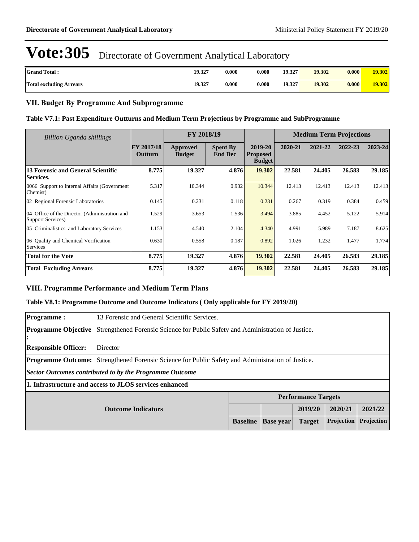| <b>Grand Total:</b>            | 19.327 | 0.000 | $0.000\,$ | 19.327 | 19.302 | 0.000 | 19.302 |
|--------------------------------|--------|-------|-----------|--------|--------|-------|--------|
| <b>Total excluding Arrears</b> | 19.327 | 0.000 | 0.000     | 19.327 | 19.302 | 0.000 | 19.302 |

### **VII. Budget By Programme And Subprogramme**

### **Table V7.1: Past Expenditure Outturns and Medium Term Projections by Programme and SubProgramme**

| Billion Uganda shillings                                           |                              | FY 2018/19                |                                   | <b>Medium Term Projections</b>              |         |         |         |         |
|--------------------------------------------------------------------|------------------------------|---------------------------|-----------------------------------|---------------------------------------------|---------|---------|---------|---------|
|                                                                    | <b>FY 2017/18</b><br>Outturn | Approved<br><b>Budget</b> | <b>Spent By</b><br><b>End Dec</b> | 2019-20<br><b>Proposed</b><br><b>Budget</b> | 2020-21 | 2021-22 | 2022-23 | 2023-24 |
| 13 Forensic and General Scientific<br>Services.                    | 8.775                        | 19.327                    | 4.876                             | 19.302                                      | 22.581  | 24.405  | 26.583  | 29.185  |
| 0066 Support to Internal Affairs (Government<br>Chemist)           | 5.317                        | 10.344                    | 0.932                             | 10.344                                      | 12.413  | 12.413  | 12.413  | 12.413  |
| 02 Regional Forensic Laboratories                                  | 0.145                        | 0.231                     | 0.118                             | 0.231                                       | 0.267   | 0.319   | 0.384   | 0.459   |
| 04 Office of the Director (Administration and<br>Support Services) | 1.529                        | 3.653                     | 1.536                             | 3.494                                       | 3.885   | 4.452   | 5.122   | 5.914   |
| 05 Criminalistics and Laboratory Services                          | 1.153                        | 4.540                     | 2.104                             | 4.340                                       | 4.991   | 5.989   | 7.187   | 8.625   |
| 06 Ouality and Chemical Verification<br>Services                   | 0.630                        | 0.558                     | 0.187                             | 0.892                                       | 1.026   | 1.232   | 1.477   | 1.774   |
| <b>Total for the Vote</b>                                          | 8.775                        | 19.327                    | 4.876                             | 19.302                                      | 22.581  | 24.405  | 26.583  | 29.185  |
| <b>Total Excluding Arrears</b>                                     | 8.775                        | 19.327                    | 4.876                             | 19.302                                      | 22.581  | 24.405  | 26.583  | 29.185  |

### **VIII. Programme Performance and Medium Term Plans**

### **Table V8.1: Programme Outcome and Outcome Indicators ( Only applicable for FY 2019/20)**

| <b>Programme:</b>           | 13 Forensic and General Scientific Services.                                                              |                 |                  |                            |            |                   |  |  |
|-----------------------------|-----------------------------------------------------------------------------------------------------------|-----------------|------------------|----------------------------|------------|-------------------|--|--|
|                             | <b>Programme Objective</b> Strengthened Forensic Science for Public Safety and Administration of Justice. |                 |                  |                            |            |                   |  |  |
| <b>Responsible Officer:</b> | Director                                                                                                  |                 |                  |                            |            |                   |  |  |
|                             | <b>Programme Outcome:</b> Strengthened Forensic Science for Public Safety and Administration of Justice.  |                 |                  |                            |            |                   |  |  |
|                             | Sector Outcomes contributed to by the Programme Outcome                                                   |                 |                  |                            |            |                   |  |  |
|                             | 1. Infrastructure and access to JLOS services enhanced                                                    |                 |                  |                            |            |                   |  |  |
|                             |                                                                                                           |                 |                  | <b>Performance Targets</b> |            |                   |  |  |
| <b>Outcome Indicators</b>   |                                                                                                           |                 |                  | 2019/20                    | 2020/21    | 2021/22           |  |  |
|                             |                                                                                                           | <b>Baseline</b> | <b>Base year</b> | <b>Target</b>              | Projection | <b>Projection</b> |  |  |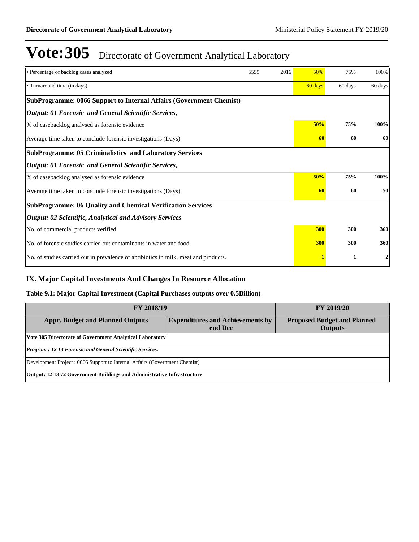| • Percentage of backlog cases analyzed                                              | 5559 | 2016 | 50%              | 75%     | 100%    |  |  |  |  |
|-------------------------------------------------------------------------------------|------|------|------------------|---------|---------|--|--|--|--|
| • Turnaround time (in days)                                                         |      |      | 60 days          | 60 days | 60 days |  |  |  |  |
| <b>SubProgramme: 0066 Support to Internal Affairs (Government Chemist)</b>          |      |      |                  |         |         |  |  |  |  |
| <b>Output: 01 Forensic and General Scientific Services,</b>                         |      |      |                  |         |         |  |  |  |  |
| % of casebacklog analysed as forensic evidence                                      |      |      | 50%              | 75%     | 100%    |  |  |  |  |
| Average time taken to conclude forensic investigations (Days)                       |      | 60   | 60               | 60      |         |  |  |  |  |
| <b>SubProgramme: 05 Criminalistics and Laboratory Services</b>                      |      |      |                  |         |         |  |  |  |  |
| <b>Output: 01 Forensic and General Scientific Services,</b>                         |      |      |                  |         |         |  |  |  |  |
| % of casebacklog analysed as forensic evidence                                      |      |      | 50%              | 75%     | 100%    |  |  |  |  |
| Average time taken to conclude forensic investigations (Days)                       |      | 60   | 60               | 50      |         |  |  |  |  |
| <b>SubProgramme: 06 Quality and Chemical Verification Services</b>                  |      |      |                  |         |         |  |  |  |  |
| <b>Output: 02 Scientific, Analytical and Advisory Services</b>                      |      |      |                  |         |         |  |  |  |  |
| No. of commercial products verified                                                 |      |      | 300              | 300     | 360     |  |  |  |  |
| No. of forensic studies carried out contaminants in water and food                  |      |      | 300              | 300     | 360     |  |  |  |  |
| No. of studies carried out in prevalence of antibiotics in milk, meat and products. |      | 1    | $\boldsymbol{2}$ |         |         |  |  |  |  |

### **IX. Major Capital Investments And Changes In Resource Allocation**

### **Table 9.1: Major Capital Investment (Capital Purchases outputs over 0.5Billion)**

| <b>FY 2018/19</b>                                                              | <b>FY 2019/20</b>                                    |  |  |  |  |  |  |
|--------------------------------------------------------------------------------|------------------------------------------------------|--|--|--|--|--|--|
| <b>Appr. Budget and Planned Outputs</b>                                        | <b>Proposed Budget and Planned</b><br><b>Outputs</b> |  |  |  |  |  |  |
| <b>Vote 305 Directorate of Government Analytical Laboratory</b>                |                                                      |  |  |  |  |  |  |
| Program : 12 13 Forensic and General Scientific Services.                      |                                                      |  |  |  |  |  |  |
| Development Project: 0066 Support to Internal Affairs (Government Chemist)     |                                                      |  |  |  |  |  |  |
| <b>Output: 12 13 72 Government Buildings and Administrative Infrastructure</b> |                                                      |  |  |  |  |  |  |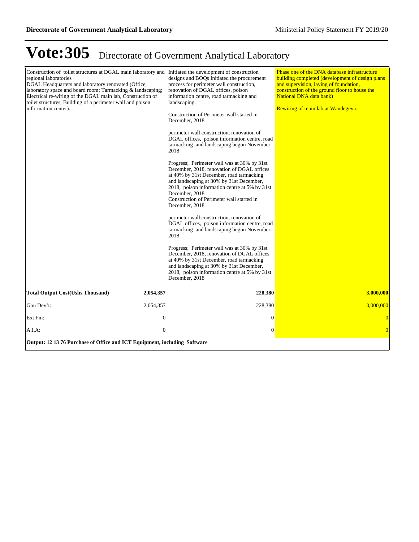| Construction of toilet structures at DGAL main laboratory and Initiated the development of construction<br>regional laboratories<br>DGAL Headquarters and laboratory renovated (Office,<br>laboratory space and board room; Tarmacking & landscaping;<br>Electrical re-wiring of the DGAL main lab, Construction of<br>toilet structures, Building of a perimeter wall and poison<br>information center). | designs and BOQs Initiated the procurement<br>process for perimeter wall construction,<br>renovation of DGAL offices, poison<br>information centre, road tarmacking and<br>landscaping.<br>Construction of Perimeter wall started in<br>December, 2018<br>perimeter wall construction, renovation of<br>DGAL offices, poison information centre, road<br>tarmacking and landscaping begun November,<br>2018<br>Progress; Perimeter wall was at 30% by 31st<br>December, 2018, renovation of DGAL offices<br>at 40% by 31st December, road tarmacking<br>and landscaping at 30% by 31st December,<br>2018, poison information centre at 5% by 31st<br>December, 2018<br>Construction of Perimeter wall started in<br>December, 2018<br>perimeter wall construction, renovation of<br>DGAL offices, poison information centre, road<br>tarmacking and landscaping begun November,<br>2018<br>Progress; Perimeter wall was at 30% by 31st<br>December, 2018, renovation of DGAL offices<br>at 40% by 31st December, road tarmacking<br>and landscaping at 30% by 31st December,<br>2018, poison information centre at 5% by 31st<br>December, 2018 | Phase one of the DNA database infrastructure<br>building completed (development of design plans)<br>and supervision, laying of foundation,<br>construction of the ground floor to house the<br><b>National DNA data bank)</b><br>Rewiring of main lab at Wandegeya. |
|-----------------------------------------------------------------------------------------------------------------------------------------------------------------------------------------------------------------------------------------------------------------------------------------------------------------------------------------------------------------------------------------------------------|-------------------------------------------------------------------------------------------------------------------------------------------------------------------------------------------------------------------------------------------------------------------------------------------------------------------------------------------------------------------------------------------------------------------------------------------------------------------------------------------------------------------------------------------------------------------------------------------------------------------------------------------------------------------------------------------------------------------------------------------------------------------------------------------------------------------------------------------------------------------------------------------------------------------------------------------------------------------------------------------------------------------------------------------------------------------------------------------------------------------------------------------------|---------------------------------------------------------------------------------------------------------------------------------------------------------------------------------------------------------------------------------------------------------------------|
| <b>Total Output Cost(Ushs Thousand)</b><br>2,054,357                                                                                                                                                                                                                                                                                                                                                      | 228,380                                                                                                                                                                                                                                                                                                                                                                                                                                                                                                                                                                                                                                                                                                                                                                                                                                                                                                                                                                                                                                                                                                                                         | 3,000,000                                                                                                                                                                                                                                                           |
| Gou Dev't:<br>2,054,357                                                                                                                                                                                                                                                                                                                                                                                   | 228,380                                                                                                                                                                                                                                                                                                                                                                                                                                                                                                                                                                                                                                                                                                                                                                                                                                                                                                                                                                                                                                                                                                                                         | 3.000,000                                                                                                                                                                                                                                                           |
| $\boldsymbol{0}$<br>Ext Fin:                                                                                                                                                                                                                                                                                                                                                                              | 0                                                                                                                                                                                                                                                                                                                                                                                                                                                                                                                                                                                                                                                                                                                                                                                                                                                                                                                                                                                                                                                                                                                                               | $\overline{0}$                                                                                                                                                                                                                                                      |
| $\boldsymbol{0}$<br>A.I.A:                                                                                                                                                                                                                                                                                                                                                                                | $\boldsymbol{0}$                                                                                                                                                                                                                                                                                                                                                                                                                                                                                                                                                                                                                                                                                                                                                                                                                                                                                                                                                                                                                                                                                                                                | $\overline{0}$                                                                                                                                                                                                                                                      |
| Output: 12 13 76 Purchase of Office and ICT Equipment, including Software                                                                                                                                                                                                                                                                                                                                 |                                                                                                                                                                                                                                                                                                                                                                                                                                                                                                                                                                                                                                                                                                                                                                                                                                                                                                                                                                                                                                                                                                                                                 |                                                                                                                                                                                                                                                                     |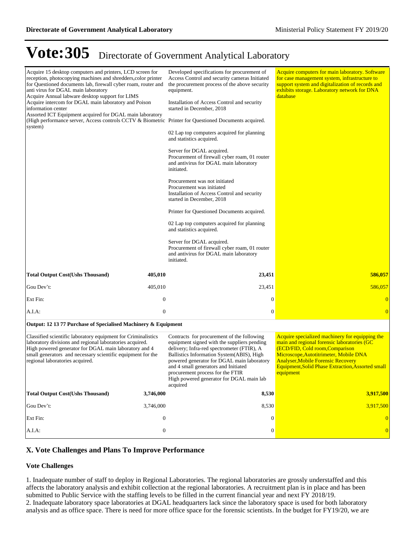| Acquire 15 desktop computers and printers, LCD screen for<br>reception, photocopying machines and shredders, color printer<br>for Questioned documents lab, firewall cyber roam, router and<br>anti virus for DGAL main laboratory<br>Acquire Annual labware desktop support for LIMS<br>Acquire intercom for DGAL main laboratory and Poison<br>information center<br>Assorted ICT Equipment acquired for DGAL main laboratory<br>(High performance server, Access controls CCTV & Biometric Printer for Questioned Documents acquired.<br>system) |                  | Developed specifications for procurement of<br>Access Control and security cameras Initiated<br>the procurement process of the above security<br>equipment.<br>Installation of Access Control and security<br>started in December, 2018<br>02 Lap top computers acquired for planning<br>and statistics acquired.<br>Server for DGAL acquired.<br>Procurement of firewall cyber roam, 01 router<br>and antivirus for DGAL main laboratory<br>initiated.<br>Procurement was not initiated<br>Procurement was initiated<br>Installation of Access Control and security<br>started in December, 2018<br>Printer for Questioned Documents acquired.<br>02 Lap top computers acquired for planning<br>and statistics acquired.<br>Server for DGAL acquired.<br>Procurement of firewall cyber roam, 01 router<br>and antivirus for DGAL main laboratory<br>initiated. | Acquire computers for main laboratory. Software<br>for case management system, infrastructure to<br>support system and digitalization of records and<br>exhibits storage. Laboratory network for DNA<br>database                                                                                  |
|-----------------------------------------------------------------------------------------------------------------------------------------------------------------------------------------------------------------------------------------------------------------------------------------------------------------------------------------------------------------------------------------------------------------------------------------------------------------------------------------------------------------------------------------------------|------------------|-----------------------------------------------------------------------------------------------------------------------------------------------------------------------------------------------------------------------------------------------------------------------------------------------------------------------------------------------------------------------------------------------------------------------------------------------------------------------------------------------------------------------------------------------------------------------------------------------------------------------------------------------------------------------------------------------------------------------------------------------------------------------------------------------------------------------------------------------------------------|---------------------------------------------------------------------------------------------------------------------------------------------------------------------------------------------------------------------------------------------------------------------------------------------------|
| <b>Total Output Cost(Ushs Thousand)</b>                                                                                                                                                                                                                                                                                                                                                                                                                                                                                                             | 405,010          | 23,451                                                                                                                                                                                                                                                                                                                                                                                                                                                                                                                                                                                                                                                                                                                                                                                                                                                          | 586,057                                                                                                                                                                                                                                                                                           |
| Gou Dev't:                                                                                                                                                                                                                                                                                                                                                                                                                                                                                                                                          | 405,010          | 23,451                                                                                                                                                                                                                                                                                                                                                                                                                                                                                                                                                                                                                                                                                                                                                                                                                                                          | 586,057                                                                                                                                                                                                                                                                                           |
| Ext Fin:                                                                                                                                                                                                                                                                                                                                                                                                                                                                                                                                            | $\mathbf{0}$     | $\boldsymbol{0}$                                                                                                                                                                                                                                                                                                                                                                                                                                                                                                                                                                                                                                                                                                                                                                                                                                                | $\mathbf{0}$                                                                                                                                                                                                                                                                                      |
| $A.I.A$ :                                                                                                                                                                                                                                                                                                                                                                                                                                                                                                                                           | $\mathbf{0}$     | $\boldsymbol{0}$                                                                                                                                                                                                                                                                                                                                                                                                                                                                                                                                                                                                                                                                                                                                                                                                                                                | $\overline{0}$                                                                                                                                                                                                                                                                                    |
| Output: 12 13 77 Purchase of Specialised Machinery & Equipment                                                                                                                                                                                                                                                                                                                                                                                                                                                                                      |                  |                                                                                                                                                                                                                                                                                                                                                                                                                                                                                                                                                                                                                                                                                                                                                                                                                                                                 |                                                                                                                                                                                                                                                                                                   |
| Classified scientific laboratory equipment for Criminalistics<br>laboratory divisions and regional laboratories acquired.<br>High powered generator for DGAL main laboratory and 4<br>small generators and necessary scientific equipment for the<br>regional laboratories acquired.                                                                                                                                                                                                                                                                |                  | Contracts for procurement of the following<br>equipment signed with the suppliers pending<br>delivery; Infra-red spectrometer (FTIR), A<br>Ballistics Information System(ABIS), High<br>powered generator for DGAL main laboratory<br>and 4 small generators and Initiated<br>procurement process for the FTIR<br>High powered generator for DGAL main lab<br>acquired                                                                                                                                                                                                                                                                                                                                                                                                                                                                                          | Acquire specialized machinery for equipping the<br>main and regional forensic laboratories (GC<br>(ECD/FID, Cold room, Comparison<br>Microscope, Autotitrimeter, Mobile DNA<br><b>Analyser, Mobile Forensic Recovery</b><br><b>Equipment, Solid Phase Extraction, Assorted small</b><br>equipment |
| <b>Total Output Cost(Ushs Thousand)</b>                                                                                                                                                                                                                                                                                                                                                                                                                                                                                                             | 3,746,000        | 8,530                                                                                                                                                                                                                                                                                                                                                                                                                                                                                                                                                                                                                                                                                                                                                                                                                                                           | 3,917,500                                                                                                                                                                                                                                                                                         |
| Gou Dev't:                                                                                                                                                                                                                                                                                                                                                                                                                                                                                                                                          | 3,746,000        | 8,530                                                                                                                                                                                                                                                                                                                                                                                                                                                                                                                                                                                                                                                                                                                                                                                                                                                           | 3,917,500                                                                                                                                                                                                                                                                                         |
| Ext Fin:                                                                                                                                                                                                                                                                                                                                                                                                                                                                                                                                            | $\boldsymbol{0}$ | $\boldsymbol{0}$                                                                                                                                                                                                                                                                                                                                                                                                                                                                                                                                                                                                                                                                                                                                                                                                                                                | $\Omega$                                                                                                                                                                                                                                                                                          |
| A.I.A:                                                                                                                                                                                                                                                                                                                                                                                                                                                                                                                                              | $\boldsymbol{0}$ | $\boldsymbol{0}$                                                                                                                                                                                                                                                                                                                                                                                                                                                                                                                                                                                                                                                                                                                                                                                                                                                | $\mathbf{0}$                                                                                                                                                                                                                                                                                      |

### **X. Vote Challenges and Plans To Improve Performance**

#### **Vote Challenges**

1. Inadequate number of staff to deploy in Regional Laboratories. The regional laboratories are grossly understaffed and this affects the laboratory analysis and exhibit collection at the regional laboratories. A recruitment plan is in place and has been submitted to Public Service with the staffing levels to be filled in the current financial year and next FY 2018/19. 2. Inadequate laboratory space laboratories at DGAL headquarters lack since the laboratory space is used for both laboratory analysis and as office space. There is need for more office space for the forensic scientists. In the budget for FY19/20, we are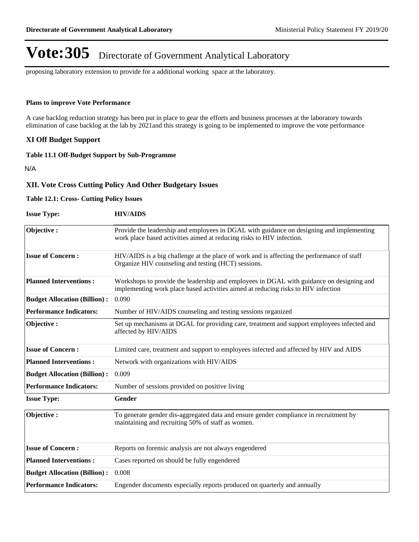proposing laboratory extension to provide for a additional working space at the laboratory.

#### **Plans to improve Vote Performance**

A case backlog reduction strategy has been put in place to gear the efforts and business processes at the laboratory towards elimination of case backlog at the lab by 2021and this strategy is going to be implemented to improve the vote performance

### **XI Off Budget Support**

### **Table 11.1 Off-Budget Support by Sub-Programme**

N/A

#### **XII. Vote Cross Cutting Policy And Other Budgetary Issues**

#### **Table 12.1: Cross- Cutting Policy Issues**

| <b>Issue Type:</b>                  | <b>HIV/AIDS</b>                                                                                                                                                               |
|-------------------------------------|-------------------------------------------------------------------------------------------------------------------------------------------------------------------------------|
| Objective:                          | Provide the leadership and employees in DGAL with guidance on designing and implementing<br>work place based activities aimed at reducing risks to HIV infection.             |
| <b>Issue of Concern:</b>            | HIV/AIDS is a big challenge at the place of work and is affecting the performance of staff<br>Organize HIV counseling and testing (HCT) sessions.                             |
| <b>Planned Interventions:</b>       | Workshops to provide the leadership and employees in DGAL with guidance on designing and<br>implementing work place based activities aimed at reducing risks to HIV infection |
| <b>Budget Allocation (Billion):</b> | 0.090                                                                                                                                                                         |
| <b>Performance Indicators:</b>      | Number of HIV/AIDS counseling and testing sessions organized                                                                                                                  |
| Objective:                          | Set up mechanisms at DGAL for providing care, treatment and support employees infected and<br>affected by HIV/AIDS                                                            |
| <b>Issue of Concern:</b>            | Limited care, treatment and support to employees infected and affected by HIV and AIDS                                                                                        |
| <b>Planned Interventions:</b>       | Network with organizations with HIV/AIDS                                                                                                                                      |
| <b>Budget Allocation (Billion):</b> | 0.009                                                                                                                                                                         |
| <b>Performance Indicators:</b>      | Number of sessions provided on positive living                                                                                                                                |
| <b>Issue Type:</b>                  | Gender                                                                                                                                                                        |
| Objective:                          | To generate gender dis-aggregated data and ensure gender compliance in recruitment by<br>maintaining and recruiting 50% of staff as women.                                    |
| <b>Issue of Concern:</b>            | Reports on forensic analysis are not always engendered                                                                                                                        |
| <b>Planned Interventions:</b>       | Cases reported on should be fully engendered                                                                                                                                  |
| <b>Budget Allocation (Billion):</b> | 0.008                                                                                                                                                                         |
| <b>Performance Indicators:</b>      | Engender documents especially reports produced on quarterly and annually                                                                                                      |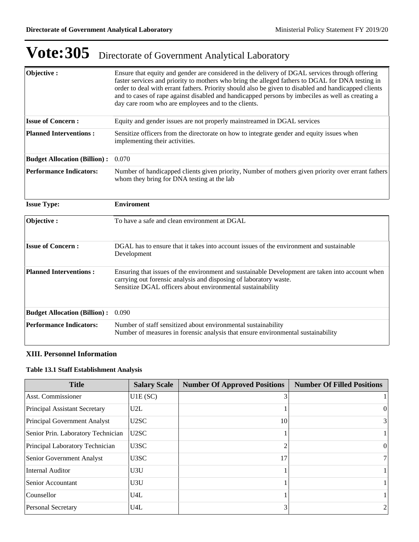| Objective:                          | Ensure that equity and gender are considered in the delivery of DGAL services through offering<br>faster services and priority to mothers who bring the alleged fathers to DGAL for DNA testing in<br>order to deal with errant fathers. Priority should also be given to disabled and handicapped clients<br>and to cases of rape against disabled and handicapped persons by imbeciles as well as creating a<br>day care room who are employees and to the clients. |
|-------------------------------------|-----------------------------------------------------------------------------------------------------------------------------------------------------------------------------------------------------------------------------------------------------------------------------------------------------------------------------------------------------------------------------------------------------------------------------------------------------------------------|
| <b>Issue of Concern:</b>            | Equity and gender issues are not properly mainstreamed in DGAL services                                                                                                                                                                                                                                                                                                                                                                                               |
| <b>Planned Interventions:</b>       | Sensitize officers from the directorate on how to integrate gender and equity issues when<br>implementing their activities.                                                                                                                                                                                                                                                                                                                                           |
| <b>Budget Allocation (Billion):</b> | 0.070                                                                                                                                                                                                                                                                                                                                                                                                                                                                 |
| <b>Performance Indicators:</b>      | Number of handicapped clients given priority, Number of mothers given priority over errant fathers<br>whom they bring for DNA testing at the lab                                                                                                                                                                                                                                                                                                                      |
| <b>Issue Type:</b>                  | <b>Enviroment</b>                                                                                                                                                                                                                                                                                                                                                                                                                                                     |
| Objective:                          | To have a safe and clean environment at DGAL                                                                                                                                                                                                                                                                                                                                                                                                                          |
| <b>Issue of Concern:</b>            | DGAL has to ensure that it takes into account issues of the environment and sustainable<br>Development                                                                                                                                                                                                                                                                                                                                                                |
| <b>Planned Interventions:</b>       | Ensuring that issues of the environment and sustainable Development are taken into account when<br>carrying out forensic analysis and disposing of laboratory waste.<br>Sensitize DGAL officers about environmental sustainability                                                                                                                                                                                                                                    |
| <b>Budget Allocation (Billion):</b> | 0.090                                                                                                                                                                                                                                                                                                                                                                                                                                                                 |
| <b>Performance Indicators:</b>      | Number of staff sensitized about environmental sustainability<br>Number of measures in forensic analysis that ensure environmental sustainability                                                                                                                                                                                                                                                                                                                     |

### **XIII. Personnel Information**

### **Table 13.1 Staff Establishment Analysis**

| <b>Title</b>                       | <b>Salary Scale</b> | <b>Number Of Approved Positions</b> | <b>Number Of Filled Positions</b> |
|------------------------------------|---------------------|-------------------------------------|-----------------------------------|
| Asst. Commissioner                 | U1E(SC)             |                                     |                                   |
| Principal Assistant Secretary      | U2L                 |                                     | $\theta$                          |
| Principal Government Analyst       | U2SC                | 10                                  | $\frac{3}{3}$                     |
| Senior Prin. Laboratory Technician | U2SC                |                                     |                                   |
| Principal Laboratory Technician    | U3SC                |                                     | $\overline{0}$                    |
| <b>Senior Government Analyst</b>   | U3SC                | 17                                  | 7 <sup>1</sup>                    |
| Internal Auditor                   | U3U                 |                                     |                                   |
| Senior Accountant                  | U3U                 |                                     |                                   |
| Counsellor                         | U4L                 |                                     |                                   |
| <b>Personal Secretary</b>          | U4L                 |                                     |                                   |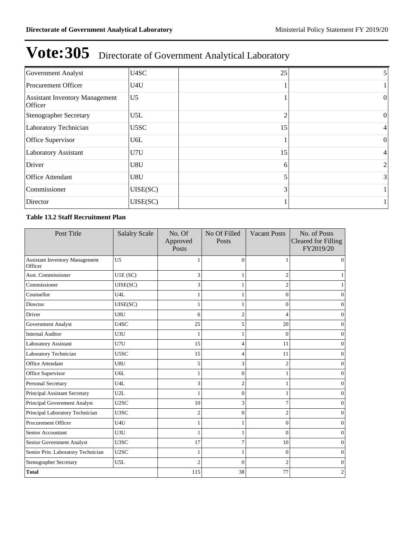| Government Analyst                               | U4SC             | 25 | Ć.             |
|--------------------------------------------------|------------------|----|----------------|
| Procurement Officer                              | U <sub>4U</sub>  |    |                |
| <b>Assistant Inventory Management</b><br>Officer | U <sub>5</sub>   |    | $\Omega$       |
| Stenographer Secretary                           | U5L              | ◠  | $\overline{0}$ |
| Laboratory Technician                            | U5SC             | 15 | 4              |
| Office Supervisor                                | U <sub>6</sub> L |    | $\theta$       |
| <b>Laboratory Assistant</b>                      | U7U              | 15 | 4              |
| Driver                                           | U8U              | 6  | 2              |
| <b>Office Attendant</b>                          | U8U              |    | $\frac{3}{3}$  |
| Commissioner                                     | UISE(SC)         |    |                |
| Director                                         | UISE(SC)         |    |                |

### **Table 13.2 Staff Recruitment Plan**

| Post Title                                       | <b>Salalry Scale</b> | No. Of<br>Approved<br>Posts | No Of Filled<br>Posts | <b>Vacant Posts</b> | No. of Posts<br><b>Cleared for Filling</b><br>FY2019/20 |
|--------------------------------------------------|----------------------|-----------------------------|-----------------------|---------------------|---------------------------------------------------------|
| <b>Assistant Inventory Management</b><br>Officer | U <sub>5</sub>       |                             | $\Omega$              |                     | $\Omega$                                                |
| <b>Asst. Commissioner</b>                        | U1E(SC)              | 3                           |                       | $\overline{2}$      |                                                         |
| Commissioner                                     | UISE(SC)             | 3                           |                       | $\overline{c}$      |                                                         |
| Counsellor                                       | U4L                  | 1                           |                       | $\theta$            | $\Omega$                                                |
| Director                                         | UISE(SC)             | 1                           |                       | $\theta$            | 0                                                       |
| Driver                                           | U8U                  | 6                           | 2                     |                     | 0                                                       |
| Government Analyst                               | U4SC                 | 25                          | 5                     | 20                  | 0                                                       |
| <b>Internal Auditor</b>                          | U3U                  | 1                           |                       | $\Omega$            | 0                                                       |
| Laboratory Assistant                             | U7U                  | 15                          | 4                     | 11                  | 0                                                       |
| Laboratory Technician                            | U5SC                 | 15                          |                       | 11                  | 0                                                       |
| Office Attendant                                 | U8U                  | 5                           | 3                     | $\overline{2}$      | 0                                                       |
| Office Supervisor                                | U6L                  |                             | $\Omega$              |                     | 0                                                       |
| Personal Secretary                               | U <sub>4</sub> L     | 3                           | 2                     |                     | 0                                                       |
| Principal Assistant Secretary                    | U2L                  |                             | 0                     |                     | 0                                                       |
| Principal Government Analyst                     | U2SC                 | 10                          | 3                     |                     | Ω                                                       |
| Principal Laboratory Technician                  | U3SC                 | $\overline{c}$              | $\Omega$              | 2                   | 0                                                       |
| Procurement Officer                              | U4U                  |                             |                       | $\theta$            | Ω                                                       |
| Senior Accountant                                | U3U                  |                             |                       | $\Omega$            | 0                                                       |
| Senior Government Analyst                        | U3SC                 | 17                          |                       | 10                  | Ω                                                       |
| Senior Prin. Laboratory Technician               | U2SC                 |                             |                       | $\Omega$            | Ω                                                       |
| <b>Stenographer Secretary</b>                    | U5L                  | $\overline{2}$              | $\Omega$              | $\overline{c}$      | 0                                                       |
| <b>Total</b>                                     |                      | 115                         | 38                    | 77                  | 2                                                       |